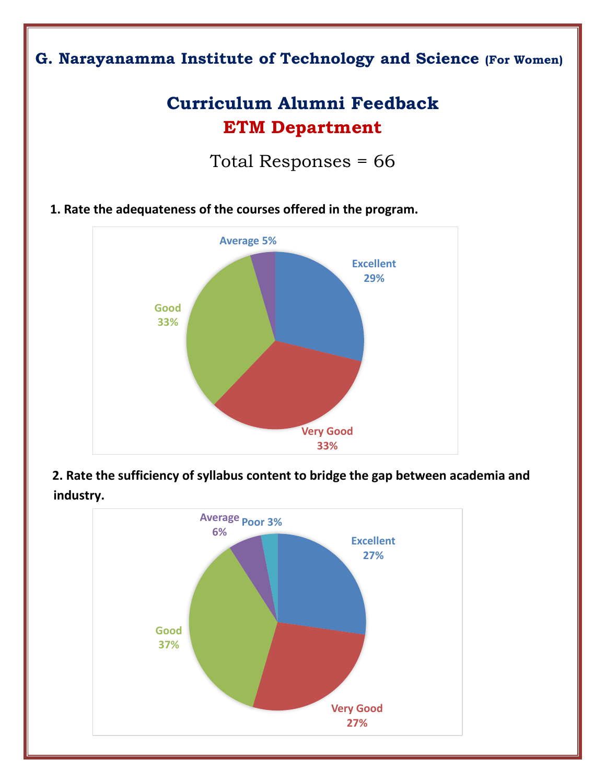# **G. Narayanamma Institute of Technology and Science (For Women)**

# **Curriculum Alumni Feedback ETM Department**

Total Responses = 66

**1. Rate the adequateness of the courses offered in the program.**



 **2. Rate the sufficiency of syllabus content to bridge the gap between academia and industry.**

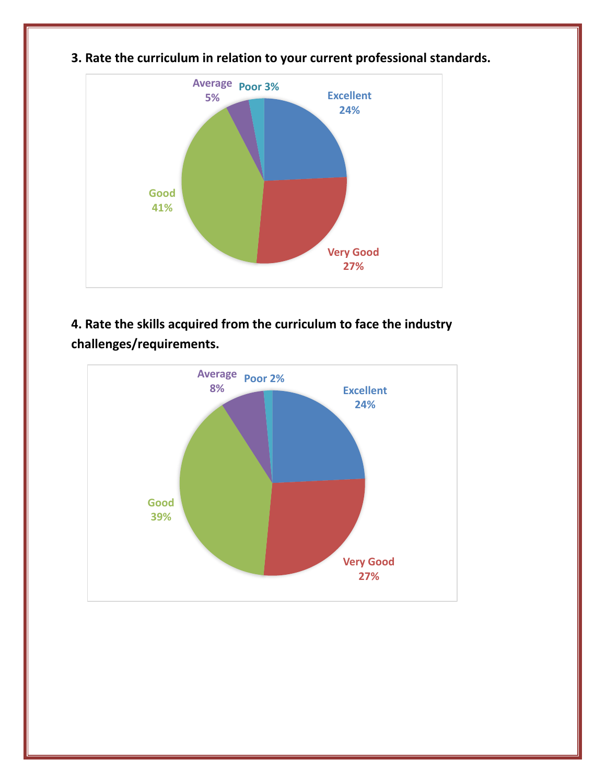

**3. Rate the curriculum in relation to your current professional standards.**

**4. Rate the skills acquired from the curriculum to face the industry challenges/requirements.**

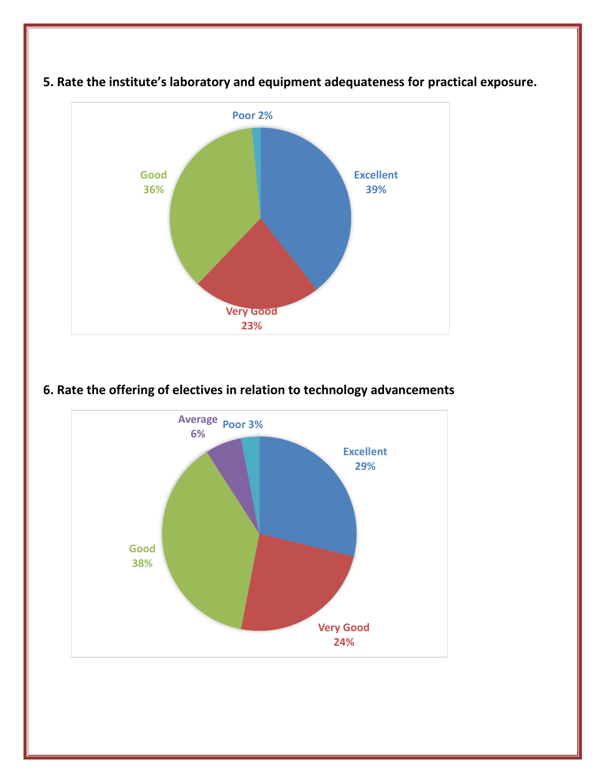

#### **5. Rate the institute's laboratory and equipment adequateness for practical exposure.**

## **6. Rate the offering of electives in relation to technology advancements**

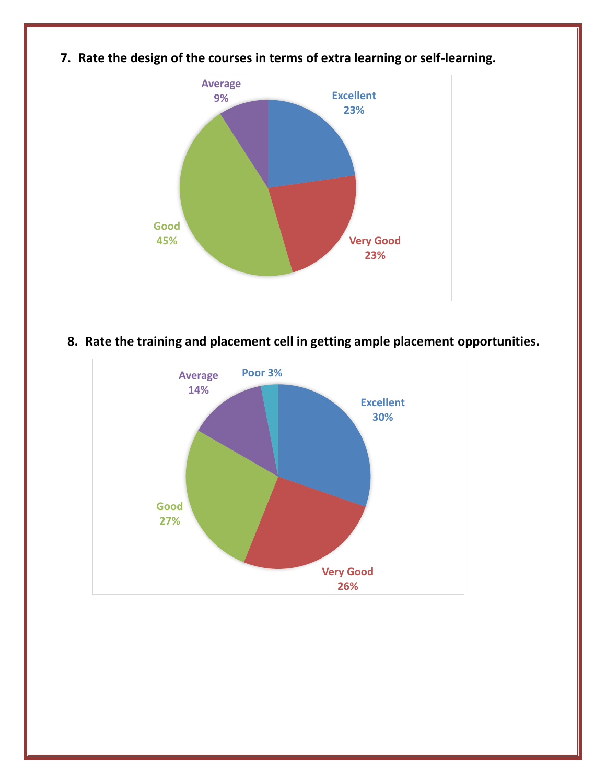

**7. Rate the design of the courses in terms of extra learning or self-learning.**

**8. Rate the training and placement cell in getting ample placement opportunities.**